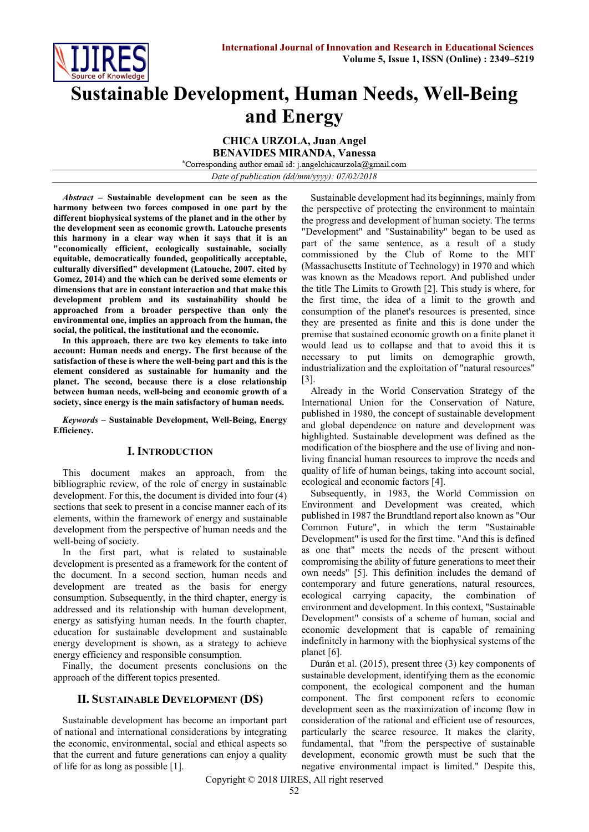

# **Sustainable Development, Human Needs, Well-Being and Energy**

**CHICA URZOLA, Juan Angel BENAVIDES MIRANDA, Vanessa** \*Corresponding author email id: j.angelchicaurzola@gmail.com

*Date of publication (dd/mm/yyyy): 07/02/2018*

*Abstract* **– Sustainable development can be seen as the harmony between two forces composed in one part by the different biophysical systems of the planet and in the other by the development seen as economic growth. Latouche presents this harmony in a clear way when it says that it is an "economically efficient, ecologically sustainable, socially equitable, democratically founded, geopolitically acceptable, culturally diversified" development (Latouche, 2007. cited by Gomez, 2014) and the which can be derived some elements or dimensions that are in constant interaction and that make this development problem and its sustainability should be approached from a broader perspective than only the environmental one, implies an approach from the human, the social, the political, the institutional and the economic.**

**In this approach, there are two key elements to take into account: Human needs and energy. The first because of the satisfaction of these is where the well-being part and this is the element considered as sustainable for humanity and the planet. The second, because there is a close relationship between human needs, well-being and economic growth of a society, since energy is the main satisfactory of human needs.**

*Keywords* **– Sustainable Development, Well-Being, Energy Efficiency.**

### **I. INTRODUCTION**

This document makes an approach, from the bibliographic review, of the role of energy in sustainable development. For this, the document is divided into four (4) sections that seek to present in a concise manner each of its elements, within the framework of energy and sustainable development from the perspective of human needs and the well-being of society.

In the first part, what is related to sustainable development is presented as a framework for the content of the document. In a second section, human needs and development are treated as the basis for energy consumption. Subsequently, in the third chapter, energy is addressed and its relationship with human development, energy as satisfying human needs. In the fourth chapter, education for sustainable development and sustainable energy development is shown, as a strategy to achieve energy efficiency and responsible consumption.

Finally, the document presents conclusions on the approach of the different topics presented.

### **II. SUSTAINABLE DEVELOPMENT (DS)**

Sustainable development has become an important part of national and international considerations by integrating the economic, environmental, social and ethical aspects so that the current and future generations can enjoy a quality of life for as long as possible [1].

Sustainable development had its beginnings, mainly from the perspective of protecting the environment to maintain the progress and development of human society. The terms "Development" and "Sustainability" began to be used as part of the same sentence, as a result of a study commissioned by the Club of Rome to the MIT (Massachusetts Institute of Technology) in 1970 and which was known as the Meadows report. And published under the title The Limits to Growth [2]. This study is where, for the first time, the idea of a limit to the growth and consumption of the planet's resources is presented, since they are presented as finite and this is done under the premise that sustained economic growth on a finite planet it would lead us to collapse and that to avoid this it is necessary to put limits on demographic growth, industrialization and the exploitation of "natural resources" [3].

Already in the World Conservation Strategy of the International Union for the Conservation of Nature, published in 1980, the concept of sustainable development and global dependence on nature and development was highlighted. Sustainable development was defined as the modification of the biosphere and the use of living and nonliving financial human resources to improve the needs and quality of life of human beings, taking into account social, ecological and economic factors [4].

Subsequently, in 1983, the World Commission on Environment and Development was created, which published in 1987 the Brundtland report also known as "Our Common Future", in which the term "Sustainable Development" is used for the first time. "And this is defined as one that" meets the needs of the present without compromising the ability of future generations to meet their own needs" [5]. This definition includes the demand of contemporary and future generations, natural resources, ecological carrying capacity, the combination of environment and development. In this context, "Sustainable Development" consists of a scheme of human, social and economic development that is capable of remaining indefinitely in harmony with the biophysical systems of the planet [6].

Durán et al. (2015), present three (3) key components of sustainable development, identifying them as the economic component, the ecological component and the human component. The first component refers to economic development seen as the maximization of income flow in consideration of the rational and efficient use of resources, particularly the scarce resource. It makes the clarity, fundamental, that "from the perspective of sustainable development, economic growth must be such that the negative environmental impact is limited." Despite this,

Copyright © 2018 IJIRES, All right reserved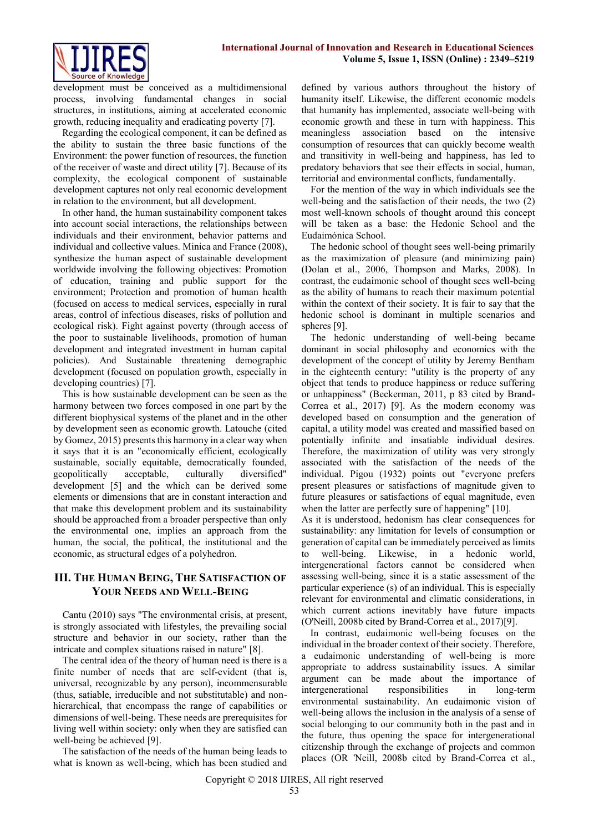

development must be conceived as a multidimensional process, involving fundamental changes in social structures, in institutions, aiming at accelerated economic growth, reducing inequality and eradicating poverty [7].

Regarding the ecological component, it can be defined as the ability to sustain the three basic functions of the Environment: the power function of resources, the function of the receiver of waste and direct utility [7]. Because of its complexity, the ecological component of sustainable development captures not only real economic development in relation to the environment, but all development.

In other hand, the human sustainability component takes into account social interactions, the relationships between individuals and their environment, behavior patterns and individual and collective values. Minica and France (2008), synthesize the human aspect of sustainable development worldwide involving the following objectives: Promotion of education, training and public support for the environment; Protection and promotion of human health (focused on access to medical services, especially in rural areas, control of infectious diseases, risks of pollution and ecological risk). Fight against poverty (through access of the poor to sustainable livelihoods, promotion of human development and integrated investment in human capital policies). And Sustainable threatening demographic development (focused on population growth, especially in developing countries) [7].

This is how sustainable development can be seen as the harmony between two forces composed in one part by the different biophysical systems of the planet and in the other by development seen as economic growth. Latouche (cited by Gomez, 2015) presents this harmony in a clear way when it says that it is an "economically efficient, ecologically sustainable, socially equitable, democratically founded, geopolitically acceptable, culturally diversified" development [5] and the which can be derived some elements or dimensions that are in constant interaction and that make this development problem and its sustainability should be approached from a broader perspective than only the environmental one, implies an approach from the human, the social, the political, the institutional and the economic, as structural edges of a polyhedron.

## **III. THE HUMAN BEING, THE SATISFACTION OF YOUR NEEDS AND WELL-BEING**

Cantu (2010) says "The environmental crisis, at present, is strongly associated with lifestyles, the prevailing social structure and behavior in our society, rather than the intricate and complex situations raised in nature" [8].

The central idea of the theory of human need is there is a finite number of needs that are self-evident (that is, universal, recognizable by any person), incommensurable (thus, satiable, irreducible and not substitutable) and nonhierarchical, that encompass the range of capabilities or dimensions of well-being. These needs are prerequisites for living well within society: only when they are satisfied can well-being be achieved [9].

The satisfaction of the needs of the human being leads to what is known as well-being, which has been studied and defined by various authors throughout the history of humanity itself. Likewise, the different economic models that humanity has implemented, associate well-being with economic growth and these in turn with happiness. This meaningless association based on the intensive consumption of resources that can quickly become wealth and transitivity in well-being and happiness, has led to predatory behaviors that see their effects in social, human, territorial and environmental conflicts, fundamentally.

For the mention of the way in which individuals see the well-being and the satisfaction of their needs, the two (2) most well-known schools of thought around this concept will be taken as a base: the Hedonic School and the Eudaimónica School.

The hedonic school of thought sees well-being primarily as the maximization of pleasure (and minimizing pain) (Dolan et al., 2006, Thompson and Marks, 2008). In contrast, the eudaimonic school of thought sees well-being as the ability of humans to reach their maximum potential within the context of their society. It is fair to say that the hedonic school is dominant in multiple scenarios and spheres [9].

The hedonic understanding of well-being became dominant in social philosophy and economics with the development of the concept of utility by Jeremy Bentham in the eighteenth century: "utility is the property of any object that tends to produce happiness or reduce suffering or unhappiness" (Beckerman, 2011, p 83 cited by Brand-Correa et al., 2017) [9]. As the modern economy was developed based on consumption and the generation of capital, a utility model was created and massified based on potentially infinite and insatiable individual desires. Therefore, the maximization of utility was very strongly associated with the satisfaction of the needs of the individual. Pigou (1932) points out "everyone prefers present pleasures or satisfactions of magnitude given to future pleasures or satisfactions of equal magnitude, even when the latter are perfectly sure of happening" [10].

As it is understood, hedonism has clear consequences for sustainability: any limitation for levels of consumption or generation of capital can be immediately perceived as limits to well-being. Likewise, in a hedonic world, intergenerational factors cannot be considered when assessing well-being, since it is a static assessment of the particular experience (s) of an individual. This is especially relevant for environmental and climatic considerations, in which current actions inevitably have future impacts (O'Neill, 2008b cited by Brand-Correa et al., 2017)[9].

In contrast, eudaimonic well-being focuses on the individual in the broader context of their society. Therefore, a eudaimonic understanding of well-being is more appropriate to address sustainability issues. A similar argument can be made about the importance of intergenerational responsibilities in long-term environmental sustainability. An eudaimonic vision of well-being allows the inclusion in the analysis of a sense of social belonging to our community both in the past and in the future, thus opening the space for intergenerational citizenship through the exchange of projects and common places (OR 'Neill, 2008b cited by Brand-Correa et al.,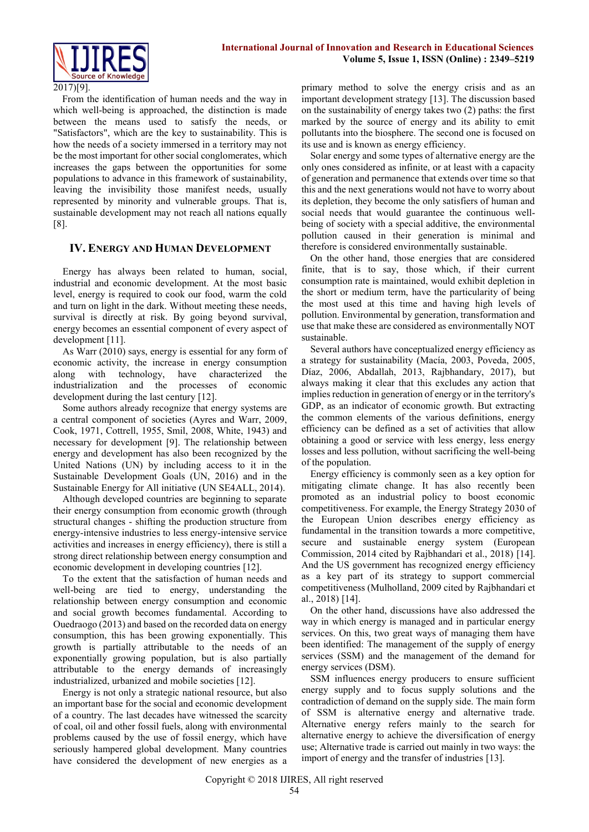

#### 2017)[9].

From the identification of human needs and the way in which well-being is approached, the distinction is made between the means used to satisfy the needs, or "Satisfactors", which are the key to sustainability. This is how the needs of a society immersed in a territory may not be the most important for other social conglomerates, which increases the gaps between the opportunities for some populations to advance in this framework of sustainability, leaving the invisibility those manifest needs, usually represented by minority and vulnerable groups. That is, sustainable development may not reach all nations equally [8].

### **IV. ENERGY AND HUMAN DEVELOPMENT**

Energy has always been related to human, social, industrial and economic development. At the most basic level, energy is required to cook our food, warm the cold and turn on light in the dark. Without meeting these needs, survival is directly at risk. By going beyond survival, energy becomes an essential component of every aspect of development [11].

As Warr (2010) says, energy is essential for any form of economic activity, the increase in energy consumption along with technology, have characterized the industrialization and the processes of economic development during the last century [12].

Some authors already recognize that energy systems are a central component of societies (Ayres and Warr, 2009, Cook, 1971, Cottrell, 1955, Smil, 2008, White, 1943) and necessary for development [9]. The relationship between energy and development has also been recognized by the United Nations (UN) by including access to it in the Sustainable Development Goals (UN, 2016) and in the Sustainable Energy for All initiative (UN SE4ALL, 2014).

Although developed countries are beginning to separate their energy consumption from economic growth (through structural changes - shifting the production structure from energy-intensive industries to less energy-intensive service activities and increases in energy efficiency), there is still a strong direct relationship between energy consumption and economic development in developing countries [12].

To the extent that the satisfaction of human needs and well-being are tied to energy, understanding the relationship between energy consumption and economic and social growth becomes fundamental. According to Ouedraogo (2013) and based on the recorded data on energy consumption, this has been growing exponentially. This growth is partially attributable to the needs of an exponentially growing population, but is also partially attributable to the energy demands of increasingly industrialized, urbanized and mobile societies [12].

Energy is not only a strategic national resource, but also an important base for the social and economic development of a country. The last decades have witnessed the scarcity of coal, oil and other fossil fuels, along with environmental problems caused by the use of fossil energy, which have seriously hampered global development. Many countries have considered the development of new energies as a primary method to solve the energy crisis and as an important development strategy [13]. The discussion based on the sustainability of energy takes two (2) paths: the first marked by the source of energy and its ability to emit pollutants into the biosphere. The second one is focused on its use and is known as energy efficiency.

Solar energy and some types of alternative energy are the only ones considered as infinite, or at least with a capacity of generation and permanence that extends over time so that this and the next generations would not have to worry about its depletion, they become the only satisfiers of human and social needs that would guarantee the continuous wellbeing of society with a special additive, the environmental pollution caused in their generation is minimal and therefore is considered environmentally sustainable.

On the other hand, those energies that are considered finite, that is to say, those which, if their current consumption rate is maintained, would exhibit depletion in the short or medium term, have the particularity of being the most used at this time and having high levels of pollution. Environmental by generation, transformation and use that make these are considered as environmentally NOT sustainable.

Several authors have conceptualized energy efficiency as a strategy for sustainability (Macía, 2003, Poveda, 2005, Díaz, 2006, Abdallah, 2013, Rajbhandary, 2017), but always making it clear that this excludes any action that implies reduction in generation of energy or in the territory's GDP, as an indicator of economic growth. But extracting the common elements of the various definitions, energy efficiency can be defined as a set of activities that allow obtaining a good or service with less energy, less energy losses and less pollution, without sacrificing the well-being of the population.

Energy efficiency is commonly seen as a key option for mitigating climate change. It has also recently been promoted as an industrial policy to boost economic competitiveness. For example, the Energy Strategy 2030 of the European Union describes energy efficiency as fundamental in the transition towards a more competitive, secure and sustainable energy system (European Commission, 2014 cited by Rajbhandari et al., 2018) [14]. And the US government has recognized energy efficiency as a key part of its strategy to support commercial competitiveness (Mulholland, 2009 cited by Rajbhandari et al., 2018) [14].

On the other hand, discussions have also addressed the way in which energy is managed and in particular energy services. On this, two great ways of managing them have been identified: The management of the supply of energy services (SSM) and the management of the demand for energy services (DSM).

SSM influences energy producers to ensure sufficient energy supply and to focus supply solutions and the contradiction of demand on the supply side. The main form of SSM is alternative energy and alternative trade. Alternative energy refers mainly to the search for alternative energy to achieve the diversification of energy use; Alternative trade is carried out mainly in two ways: the import of energy and the transfer of industries [13].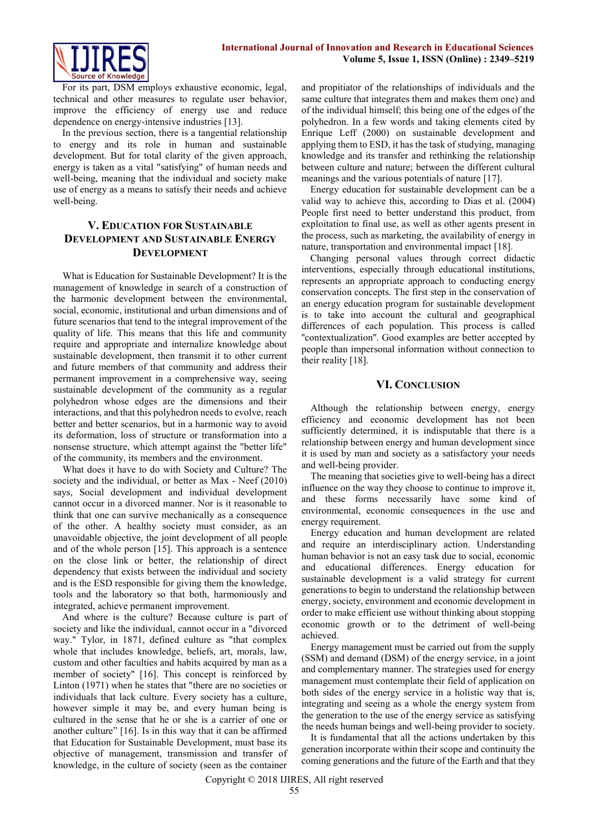

For its part, DSM employs exhaustive economic, legal, technical and other measures to regulate user behavior, improve the efficiency of energy use and reduce dependence on energy-intensive industries [13].

In the previous section, there is a tangential relationship to energy and its role in human and sustainable development. But for total clarity of the given approach, energy is taken as a vital "satisfying" of human needs and well-being, meaning that the individual and society make use of energy as a means to satisfy their needs and achieve well-being.

# **V. EDUCATION FOR SUSTAINABLE DEVELOPMENT AND SUSTAINABLE ENERGY DEVELOPMENT**

What is Education for Sustainable Development? It is the management of knowledge in search of a construction of the harmonic development between the environmental, social, economic, institutional and urban dimensions and of future scenarios that tend to the integral improvement of the quality of life. This means that this life and community require and appropriate and internalize knowledge about sustainable development, then transmit it to other current and future members of that community and address their permanent improvement in a comprehensive way, seeing sustainable development of the community as a regular polyhedron whose edges are the dimensions and their interactions, and that this polyhedron needs to evolve, reach better and better scenarios, but in a harmonic way to avoid its deformation, loss of structure or transformation into a nonsense structure, which attempt against the "better life" of the community, its members and the environment.

What does it have to do with Society and Culture? The society and the individual, or better as Max - Neef (2010) says, Social development and individual development cannot occur in a divorced manner. Nor is it reasonable to think that one can survive mechanically as a consequence of the other. A healthy society must consider, as an unavoidable objective, the joint development of all people and of the whole person [15]. This approach is a sentence on the close link or better, the relationship of direct dependency that exists between the individual and society and is the ESD responsible for giving them the knowledge, tools and the laboratory so that both, harmoniously and integrated, achieve permanent improvement.

And where is the culture? Because culture is part of society and like the individual, cannot occur in a "divorced way." Tylor, in 1871, defined culture as "that complex whole that includes knowledge, beliefs, art, morals, law, custom and other faculties and habits acquired by man as a member of society" [16]. This concept is reinforced by Linton (1971) when he states that "there are no societies or individuals that lack culture. Every society has a culture, however simple it may be, and every human being is cultured in the sense that he or she is a carrier of one or another culture" [16]. Is in this way that it can be affirmed that Education for Sustainable Development, must base its objective of management, transmission and transfer of knowledge, in the culture of society (seen as the container

and propitiator of the relationships of individuals and the same culture that integrates them and makes them one) and of the individual himself; this being one of the edges of the polyhedron. In a few words and taking elements cited by Enrique Leff (2000) on sustainable development and applying them to ESD, it has the task of studying, managing knowledge and its transfer and rethinking the relationship between culture and nature; between the different cultural meanings and the various potentials of nature [17].

Energy education for sustainable development can be a valid way to achieve this, according to Dias et al. (2004) People first need to better understand this product, from exploitation to final use, as well as other agents present in the process, such as marketing, the availability of energy in nature, transportation and environmental impact [18].

Changing personal values through correct didactic interventions, especially through educational institutions, represents an appropriate approach to conducting energy conservation concepts. The first step in the conservation of an energy education program for sustainable development is to take into account the cultural and geographical differences of each population. This process is called ''contextualization''. Good examples are better accepted by people than impersonal information without connection to their reality [18].

#### **VI. CONCLUSION**

Although the relationship between energy, energy efficiency and economic development has not been sufficiently determined, it is indisputable that there is a relationship between energy and human development since it is used by man and society as a satisfactory your needs and well-being provider.

The meaning that societies give to well-being has a direct influence on the way they choose to continue to improve it, and these forms necessarily have some kind of environmental, economic consequences in the use and energy requirement.

Energy education and human development are related and require an interdisciplinary action. Understanding human behavior is not an easy task due to social, economic and educational differences. Energy education for sustainable development is a valid strategy for current generations to begin to understand the relationship between energy, society, environment and economic development in order to make efficient use without thinking about stopping economic growth or to the detriment of well-being achieved.

Energy management must be carried out from the supply (SSM) and demand (DSM) of the energy service, in a joint and complementary manner. The strategies used for energy management must contemplate their field of application on both sides of the energy service in a holistic way that is, integrating and seeing as a whole the energy system from the generation to the use of the energy service as satisfying the needs human beings and well-being provider to society.

It is fundamental that all the actions undertaken by this generation incorporate within their scope and continuity the coming generations and the future of the Earth and that they